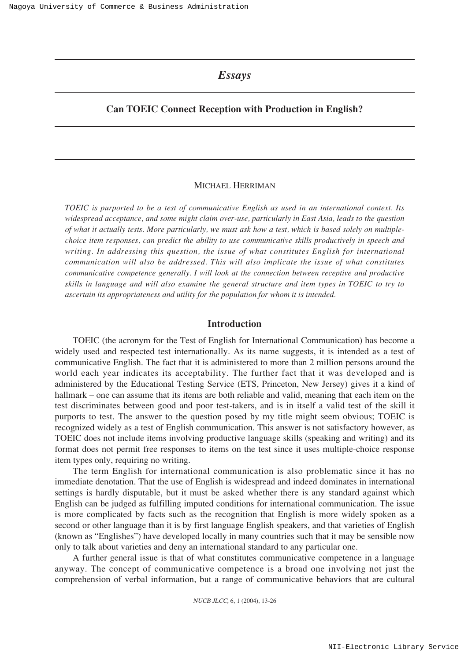# *Essays*

# **Can TOEIC Connect Reception with Production in English?**

### MICHAEL HERRIMAN

*TOEIC is purported to be a test of communicative English as used in an international context. Its widespread acceptance, and some might claim over-use, particularly in East Asia, leads to the question of what it actually tests. More particularly, we must ask how a test, which is based solely on multiplechoice item responses, can predict the ability to use communicative skills productively in speech and writing. In addressing this question, the issue of what constitutes English for international communication will also be addressed. This will also implicate the issue of what constitutes communicative competence generally. I will look at the connection between receptive and productive skills in language and will also examine the general structure and item types in TOEIC to try to ascertain its appropriateness and utility for the population for whom it is intended.* 

### **Introduction**

TOEIC (the acronym for the Test of English for International Communication) has become a widely used and respected test internationally. As its name suggests, it is intended as a test of communicative English. The fact that it is administered to more than 2 million persons around the world each year indicates its acceptability. The further fact that it was developed and is administered by the Educational Testing Service (ETS, Princeton, New Jersey) gives it a kind of hallmark – one can assume that its items are both reliable and valid, meaning that each item on the test discriminates between good and poor test-takers, and is in itself a valid test of the skill it purports to test. The answer to the question posed by my title might seem obvious; TOEIC is recognized widely as a test of English communication. This answer is not satisfactory however, as TOEIC does not include items involving productive language skills (speaking and writing) and its format does not permit free responses to items on the test since it uses multiple-choice response item types only, requiring no writing.

The term English for international communication is also problematic since it has no immediate denotation. That the use of English is widespread and indeed dominates in international settings is hardly disputable, but it must be asked whether there is any standard against which English can be judged as fulfilling imputed conditions for international communication. The issue is more complicated by facts such as the recognition that English is more widely spoken as a second or other language than it is by first language English speakers, and that varieties of English (known as "Englishes") have developed locally in many countries such that it may be sensible now only to talk about varieties and deny an international standard to any particular one.

A further general issue is that of what constitutes communicative competence in a language anyway. The concept of communicative competence is a broad one involving not just the comprehension of verbal information, but a range of communicative behaviors that are cultural

NUCB JLCC, 6, 1 (2004), 13-26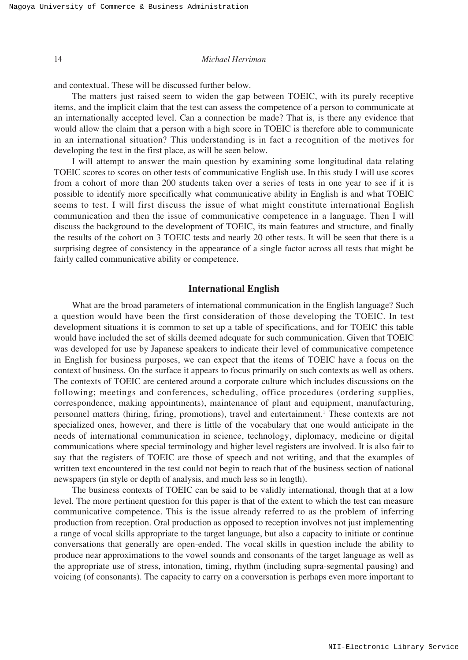and contextual. These will be discussed further below.

The matters just raised seem to widen the gap between TOEIC, with its purely receptive items, and the implicit claim that the test can assess the competence of a person to communicate at an internationally accepted level. Can a connection be made? That is, is there any evidence that would allow the claim that a person with a high score in TOEIC is therefore able to communicate in an international situation? This understanding is in fact a recognition of the motives for developing the test in the first place, as will be seen below.

I will attempt to answer the main question by examining some longitudinal data relating TOEIC scores to scores on other tests of communicative English use. In this study I will use scores from a cohort of more than 200 students taken over a series of tests in one year to see if it is possible to identify more specifically what communicative ability in English is and what TOEIC seems to test. I will first discuss the issue of what might constitute international English communication and then the issue of communicative competence in a language. Then I will discuss the background to the development of TOEIC, its main features and structure, and finally the results of the cohort on 3 TOEIC tests and nearly 20 other tests. It will be seen that there is a surprising degree of consistency in the appearance of a single factor across all tests that might be fairly called communicative ability or competence.

# **International English**

What are the broad parameters of international communication in the English language? Such a question would have been the first consideration of those developing the TOEIC. In test development situations it is common to set up a table of specifications, and for TOEIC this table would have included the set of skills deemed adequate for such communication. Given that TOEIC was developed for use by Japanese speakers to indicate their level of communicative competence in English for business purposes, we can expect that the items of TOEIC have a focus on the context of business. On the surface it appears to focus primarily on such contexts as well as others. The contexts of TOEIC are centered around a corporate culture which includes discussions on the following; meetings and conferences, scheduling, office procedures (ordering supplies, correspondence, making appointments), maintenance of plant and equipment, manufacturing, personnel matters (hiring, firing, promotions), travel and entertainment.<sup>1</sup> These contexts are not specialized ones, however, and there is little of the vocabulary that one would anticipate in the needs of international communication in science, technology, diplomacy, medicine or digital communications where special terminology and higher level registers are involved. It is also fair to say that the registers of TOEIC are those of speech and not writing, and that the examples of written text encountered in the test could not begin to reach that of the business section of national newspapers (in style or depth of analysis, and much less so in length).

The business contexts of TOEIC can be said to be validly international, though that at a low level. The more pertinent question for this paper is that of the extent to which the test can measure communicative competence. This is the issue already referred to as the problem of inferring production from reception. Oral production as opposed to reception involves not just implementing a range of vocal skills appropriate to the target language, but also a capacity to initiate or continue conversations that generally are open-ended. The vocal skills in question include the ability to produce near approximations to the vowel sounds and consonants of the target language as well as the appropriate use of stress, intonation, timing, rhythm (including supra-segmental pausing) and voicing (of consonants). The capacity to carry on a conversation is perhaps even more important to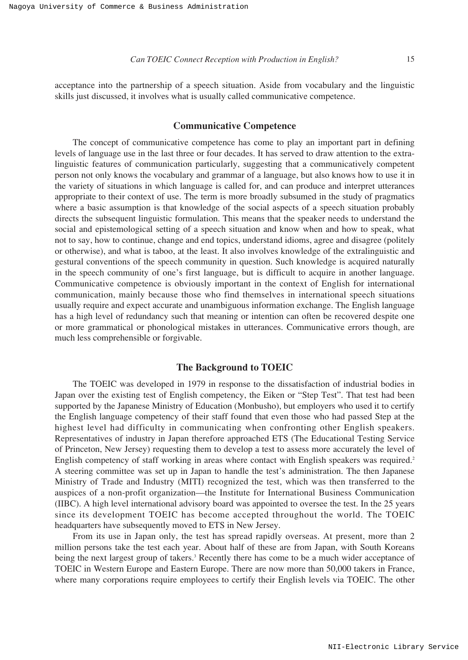acceptance into the partnership of a speech situation. Aside from vocabulary and the linguistic skills just discussed, it involves what is usually called communicative competence.

### **Communicative Competence**

The concept of communicative competence has come to play an important part in defining levels of language use in the last three or four decades. It has served to draw attention to the extralinguistic features of communication particularly, suggesting that a communicatively competent person not only knows the vocabulary and grammar of a language, but also knows how to use it in the variety of situations in which language is called for, and can produce and interpret utterances appropriate to their context of use. The term is more broadly subsumed in the study of pragmatics where a basic assumption is that knowledge of the social aspects of a speech situation probably directs the subsequent linguistic formulation. This means that the speaker needs to understand the social and epistemological setting of a speech situation and know when and how to speak, what not to say, how to continue, change and end topics, understand idioms, agree and disagree (politely or otherwise), and what is taboo, at the least. It also involves knowledge of the extralinguistic and gestural conventions of the speech community in question. Such knowledge is acquired naturally in the speech community of one's first language, but is difficult to acquire in another language. Communicative competence is obviously important in the context of English for international communication, mainly because those who find themselves in international speech situations usually require and expect accurate and unambiguous information exchange. The English language has a high level of redundancy such that meaning or intention can often be recovered despite one or more grammatical or phonological mistakes in utterances. Communicative errors though, are much less comprehensible or forgivable.

#### **The Background to TOEIC**

The TOEIC was developed in 1979 in response to the dissatisfaction of industrial bodies in Japan over the existing test of English competency, the Eiken or "Step Test". That test had been supported by the Japanese Ministry of Education (Monbusho), but employers who used it to certify the English language competency of their staff found that even those who had passed Step at the highest level had difficulty in communicating when confronting other English speakers. Representatives of industry in Japan therefore approached ETS (The Educational Testing Service of Princeton, New Jersey) requesting them to develop a test to assess more accurately the level of English competency of staff working in areas where contact with English speakers was required.<sup>2</sup> A steering committee was set up in Japan to handle the test's administration. The then Japanese Ministry of Trade and Industry (MITI) recognized the test, which was then transferred to the auspices of a non-profit organization—the Institute for International Business Communication (IIBC). A high level international advisory board was appointed to oversee the test. In the 25 years since its development TOEIC has become accepted throughout the world. The TOEIC headquarters have subsequently moved to ETS in New Jersey.

From its use in Japan only, the test has spread rapidly overseas. At present, more than 2 million persons take the test each year. About half of these are from Japan, with South Koreans being the next largest group of takers.<sup>3</sup> Recently there has come to be a much wider acceptance of TOEIC in Western Europe and Eastern Europe. There are now more than 50,000 takers in France, where many corporations require employees to certify their English levels via TOEIC. The other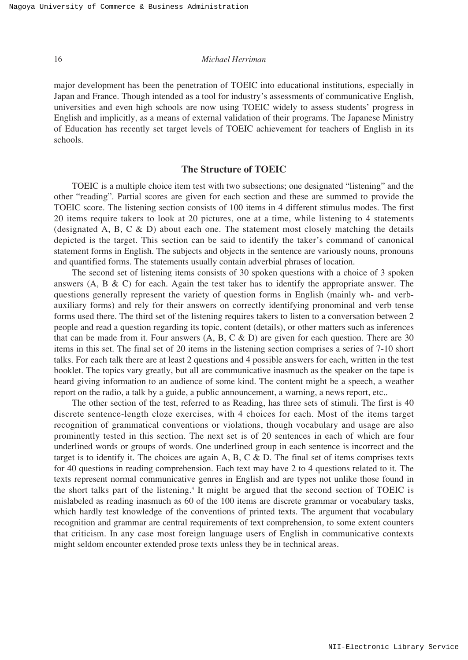major development has been the penetration of TOEIC into educational institutions, especially in Japan and France. Though intended as a tool for industry's assessments of communicative English, universities and even high schools are now using TOEIC widely to assess students' progress in English and implicitly, as a means of external validation of their programs. The Japanese Ministry of Education has recently set target levels of TOEIC achievement for teachers of English in its schools.

### **The Structure of TOEIC**

TOEIC is a multiple choice item test with two subsections; one designated "listening" and the other "reading". Partial scores are given for each section and these are summed to provide the TOEIC score. The listening section consists of 100 items in 4 different stimulus modes. The first 20 items require takers to look at 20 pictures, one at a time, while listening to 4 statements (designated A, B, C & D) about each one. The statement most closely matching the details depicted is the target. This section can be said to identify the taker's command of canonical statement forms in English. The subjects and objects in the sentence are variously nouns, pronouns and quantified forms. The statements usually contain adverbial phrases of location.

The second set of listening items consists of 30 spoken questions with a choice of 3 spoken answers  $(A, B, \& C)$  for each. Again the test taker has to identify the appropriate answer. The questions generally represent the variety of question forms in English (mainly wh- and verbauxiliary forms) and rely for their answers on correctly identifying pronominal and verb tense forms used there. The third set of the listening requires takers to listen to a conversation between 2 people and read a question regarding its topic, content (details), or other matters such as inferences that can be made from it. Four answers  $(A, B, C \& D)$  are given for each question. There are 30 items in this set. The final set of 20 items in the listening section comprises a series of 7-10 short talks. For each talk there are at least 2 questions and 4 possible answers for each, written in the test booklet. The topics vary greatly, but all are communicative inasmuch as the speaker on the tape is heard giving information to an audience of some kind. The content might be a speech, a weather report on the radio, a talk by a guide, a public announcement, a warning, a news report, etc..

The other section of the test, referred to as Reading, has three sets of stimuli. The first is 40 discrete sentence-length cloze exercises, with 4 choices for each. Most of the items target recognition of grammatical conventions or violations, though vocabulary and usage are also prominently tested in this section. The next set is of 20 sentences in each of which are four underlined words or groups of words. One underlined group in each sentence is incorrect and the target is to identify it. The choices are again A, B, C  $\&$  D. The final set of items comprises texts for 40 questions in reading comprehension. Each text may have 2 to 4 questions related to it. The texts represent normal communicative genres in English and are types not unlike those found in the short talks part of the listening.4 It might be argued that the second section of TOEIC is mislabeled as reading inasmuch as 60 of the 100 items are discrete grammar or vocabulary tasks, which hardly test knowledge of the conventions of printed texts. The argument that vocabulary recognition and grammar are central requirements of text comprehension, to some extent counters that criticism. In any case most foreign language users of English in communicative contexts might seldom encounter extended prose texts unless they be in technical areas.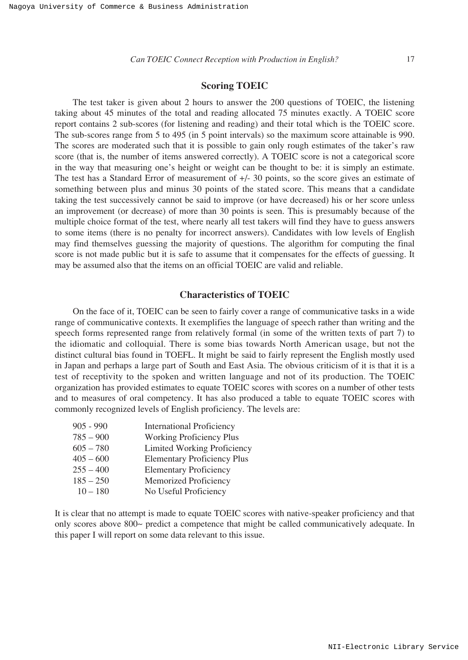# **Scoring TOEIC**

The test taker is given about 2 hours to answer the 200 questions of TOEIC, the listening taking about 45 minutes of the total and reading allocated 75 minutes exactly. A TOEIC score report contains 2 sub-scores (for listening and reading) and their total which is the TOEIC score. The sub-scores range from 5 to 495 (in 5 point intervals) so the maximum score attainable is 990. The scores are moderated such that it is possible to gain only rough estimates of the taker's raw score (that is, the number of items answered correctly). A TOEIC score is not a categorical score in the way that measuring one's height or weight can be thought to be: it is simply an estimate. The test has a Standard Error of measurement of +/- 30 points, so the score gives an estimate of something between plus and minus 30 points of the stated score. This means that a candidate taking the test successively cannot be said to improve (or have decreased) his or her score unless an improvement (or decrease) of more than 30 points is seen. This is presumably because of the multiple choice format of the test, where nearly all test takers will find they have to guess answers to some items (there is no penalty for incorrect answers). Candidates with low levels of English may find themselves guessing the majority of questions. The algorithm for computing the final score is not made public but it is safe to assume that it compensates for the effects of guessing. It may be assumed also that the items on an official TOEIC are valid and reliable.

# **Characteristics of TOEIC**

On the face of it, TOEIC can be seen to fairly cover a range of communicative tasks in a wide range of communicative contexts. It exemplifies the language of speech rather than writing and the speech forms represented range from relatively formal (in some of the written texts of part 7) to the idiomatic and colloquial. There is some bias towards North American usage, but not the distinct cultural bias found in TOEFL. It might be said to fairly represent the English mostly used in Japan and perhaps a large part of South and East Asia. The obvious criticism of it is that it is a test of receptivity to the spoken and written language and not of its production. The TOEIC organization has provided estimates to equate TOEIC scores with scores on a number of other tests and to measures of oral competency. It has also produced a table to equate TOEIC scores with commonly recognized levels of English proficiency. The levels are:

| $905 - 990$ | <b>International Proficiency</b>   |
|-------------|------------------------------------|
| $785 - 900$ | <b>Working Proficiency Plus</b>    |
| $605 - 780$ | Limited Working Proficiency        |
| $405 - 600$ | <b>Elementary Proficiency Plus</b> |
| $255 - 400$ | <b>Elementary Proficiency</b>      |
| $185 - 250$ | Memorized Proficiency              |
| $10 - 180$  | No Useful Proficiency              |

It is clear that no attempt is made to equate TOEIC scores with native-speaker proficiency and that only scores above 800~ predict a competence that might be called communicatively adequate. In this paper I will report on some data relevant to this issue.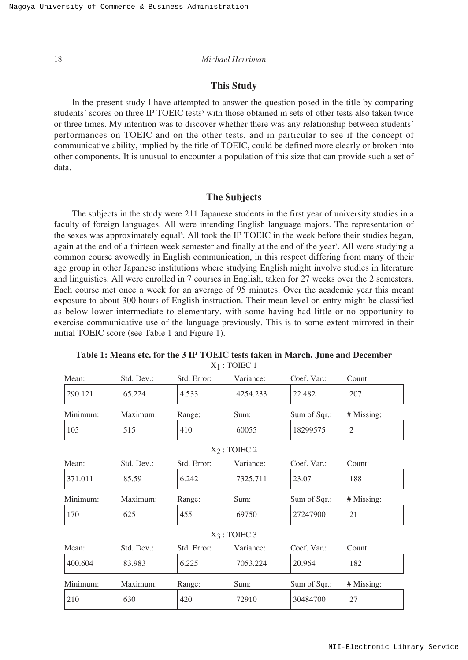### **This Study**

In the present study I have attempted to answer the question posed in the title by comparing students' scores on three IP TOEIC tests<sup>5</sup> with those obtained in sets of other tests also taken twice or three times. My intention was to discover whether there was any relationship between students' performances on TOEIC and on the other tests, and in particular to see if the concept of communicative ability, implied by the title of TOEIC, could be defined more clearly or broken into other components. It is unusual to encounter a population of this size that can provide such a set of data.

#### **The Subjects**

The subjects in the study were 211 Japanese students in the first year of university studies in a faculty of foreign languages. All were intending English language majors. The representation of the sexes was approximately equal<sup>6</sup>. All took the IP TOEIC in the week before their studies began, again at the end of a thirteen week semester and finally at the end of the year<sup>7</sup>. All were studying a common course avowedly in English communication, in this respect differing from many of their age group in other Japanese institutions where studying English might involve studies in literature and linguistics. All were enrolled in 7 courses in English, taken for 27 weeks over the 2 semesters. Each course met once a week for an average of 95 minutes. Over the academic year this meant exposure to about 300 hours of English instruction. Their mean level on entry might be classified as below lower intermediate to elementary, with some having had little or no opportunity to exercise communicative use of the language previously. This is to some extent mirrored in their initial TOEIC score (see Table 1 and Figure 1).

| Std. Dev.: | Std. Error: | Variance:         | Coef. Var.:                        | Count:         |
|------------|-------------|-------------------|------------------------------------|----------------|
| 65.224     | 4.533       | 4254.233          | 22.482                             | 207            |
| Maximum:   | Range:      | Sum:              | Sum of Sqr.:                       | # Missing:     |
| 515        | 410         | 60055<br>18299575 |                                    | $\overline{2}$ |
|            |             |                   |                                    |                |
| Std. Dev.: | Std. Error: | Variance:         | Coef. Var.:                        | Count:         |
| 85.59      | 6.242       | 7325.711          | 23.07                              | 188            |
| Maximum:   | Range:      | Sum:              | Sum of Sqr.:                       | # Missing:     |
| 625        | 455         | 69750             | 27247900                           | 21             |
|            |             |                   |                                    |                |
| Std. Dev.: | Std. Error: | Variance:         | Coef. Var.:                        | Count:         |
| 83.983     | 6.225       | 7053.224          | 20.964                             | 182            |
| Maximum:   | Range:      | Sum:              | Sum of Sqr.:                       | # Missing:     |
| 630        | 420         | 72910             | 30484700                           | 27             |
|            |             |                   | $X_2$ : TOIEC 2<br>$X_3$ : TOIEC 3 |                |

**Table 1: Means etc. for the 3 IP TOEIC tests taken in March, June and December**  $X_1$ : TOIEC 1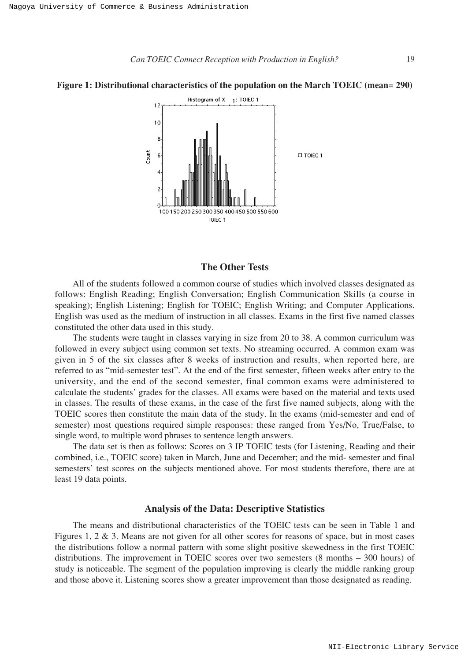

#### **Figure 1: Distributional characteristics of the population on the March TOEIC (mean= 290)**

## **The Other Tests**

All of the students followed a common course of studies which involved classes designated as follows: English Reading; English Conversation; English Communication Skills (a course in speaking); English Listening; English for TOEIC; English Writing; and Computer Applications. English was used as the medium of instruction in all classes. Exams in the first five named classes constituted the other data used in this study.

The students were taught in classes varying in size from 20 to 38. A common curriculum was followed in every subject using common set texts. No streaming occurred. A common exam was given in 5 of the six classes after 8 weeks of instruction and results, when reported here, are referred to as "mid-semester test". At the end of the first semester, fifteen weeks after entry to the university, and the end of the second semester, final common exams were administered to calculate the students' grades for the classes. All exams were based on the material and texts used in classes. The results of these exams, in the case of the first five named subjects, along with the TOEIC scores then constitute the main data of the study. In the exams (mid-semester and end of semester) most questions required simple responses: these ranged from Yes/No, True/False, to single word, to multiple word phrases to sentence length answers.

The data set is then as follows: Scores on 3 IP TOEIC tests (for Listening, Reading and their combined, i.e., TOEIC score) taken in March, June and December; and the mid- semester and final semesters' test scores on the subjects mentioned above. For most students therefore, there are at least 19 data points.

### **Analysis of the Data: Descriptive Statistics**

The means and distributional characteristics of the TOEIC tests can be seen in Table 1 and Figures 1, 2 & 3. Means are not given for all other scores for reasons of space, but in most cases the distributions follow a normal pattern with some slight positive skewedness in the first TOEIC distributions. The improvement in TOEIC scores over two semesters (8 months – 300 hours) of study is noticeable. The segment of the population improving is clearly the middle ranking group and those above it. Listening scores show a greater improvement than those designated as reading.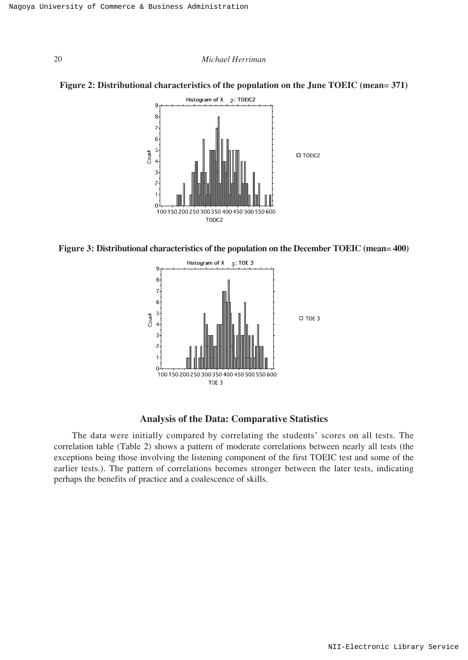







# **Analysis of the Data: Comparative Statistics**

The data were initially compared by correlating the students' scores on all tests. The correlation table (Table 2) shows a pattern of moderate correlations between nearly all tests (the exceptions being those involving the listening component of the first TOEIC test and some of the earlier tests.). The pattern of correlations becomes stronger between the later tests, indicating perhaps the benefits of practice and a coalescence of skills.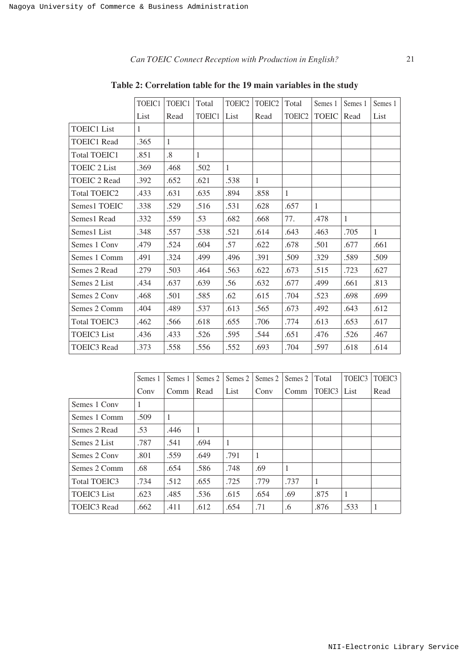# *Can TOEIC Connect Reception with Production in English?* 21

|                     | TOEIC1 | TOEIC1            | Total  | TOEIC <sub>2</sub> | TOEIC <sub>2</sub> | Total              | Semes 1      | Semes 1 | Semes 1      |
|---------------------|--------|-------------------|--------|--------------------|--------------------|--------------------|--------------|---------|--------------|
|                     | List   | Read              | TOEIC1 | List               | Read               | TOEIC <sub>2</sub> | <b>TOEIC</b> | Read    | List         |
| <b>TOEIC1</b> List  | 1      |                   |        |                    |                    |                    |              |         |              |
| <b>TOEIC1</b> Read  | .365   | $\mathbf{1}$      |        |                    |                    |                    |              |         |              |
| <b>Total TOEIC1</b> | .851   | $\boldsymbol{.8}$ | 1      |                    |                    |                    |              |         |              |
| <b>TOEIC 2 List</b> | .369   | .468              | .502   | $\mathbf{1}$       |                    |                    |              |         |              |
| <b>TOEIC 2 Read</b> | .392   | .652              | .621   | .538               | 1                  |                    |              |         |              |
| <b>Total TOEIC2</b> | .433   | .631              | .635   | .894               | .858               | 1                  |              |         |              |
| Semes1 TOEIC        | .338   | .529              | .516   | .531               | .628               | .657               | $\mathbf{1}$ |         |              |
| Semes1 Read         | .332   | .559              | .53    | .682               | .668               | 77.                | .478         | 1       |              |
| Semes1 List         | .348   | .557              | .538   | .521               | .614               | .643               | .463         | .705    | $\mathbf{1}$ |
| Semes 1 Conv        | .479   | .524              | .604   | .57                | .622               | .678               | .501         | .677    | .661         |
| Semes 1 Comm        | .491   | .324              | .499   | .496               | .391               | .509               | .329         | .589    | .509         |
| Semes 2 Read        | .279   | .503              | .464   | .563               | .622               | .673               | .515         | .723    | .627         |
| Semes 2 List        | .434   | .637              | .639   | .56                | .632               | .677               | .499         | .661    | .813         |
| Semes 2 Conv        | .468   | .501              | .585   | .62                | .615               | .704               | .523         | .698    | .699         |
| Semes 2 Comm        | .404   | .489              | .537   | .613               | .565               | .673               | .492         | .643    | .612         |
| <b>Total TOEIC3</b> | .462   | .566              | .618   | .655               | .706               | .774               | .613         | .653    | .617         |
| <b>TOEIC3</b> List  | .436   | .433              | .526   | .595               | .544               | .651               | .476         | .526    | .467         |
| <b>TOEIC3</b> Read  | .373   | .558              | .556   | .552               | .693               | .704               | .597         | .618    | .614         |

**Table 2: Correlation table for the 19 main variables in the study**

|                    | Semes 1 | Semes 1 | Semes 2 | Semes 2 | Semes 2 | Semes 2 | Total  | TOEIC <sub>3</sub> | TOEIC <sub>3</sub> |
|--------------------|---------|---------|---------|---------|---------|---------|--------|--------------------|--------------------|
|                    | Conv    | Comm    | Read    | List    | Conv    | Comm    | TOEIC3 | List               | Read               |
| Semes 1 Conv       |         |         |         |         |         |         |        |                    |                    |
| Semes 1 Comm       | .509    | 1       |         |         |         |         |        |                    |                    |
| Semes 2 Read       | .53     | .446    | 1       |         |         |         |        |                    |                    |
| Semes 2 List       | .787    | .541    | .694    | 1       |         |         |        |                    |                    |
| Semes 2 Conv       | .801    | .559    | .649    | .791    | 1       |         |        |                    |                    |
| Semes 2 Comm       | .68     | .654    | .586    | .748    | .69     | 1       |        |                    |                    |
| Total TOEIC3       | .734    | .512    | .655    | .725    | .779    | .737    | 1      |                    |                    |
| <b>TOEIC3</b> List | .623    | .485    | .536    | .615    | .654    | .69     | .875   | 1                  |                    |
| <b>TOEIC3</b> Read | .662    | .411    | .612    | .654    | .71     | .6      | .876   | .533               | 1                  |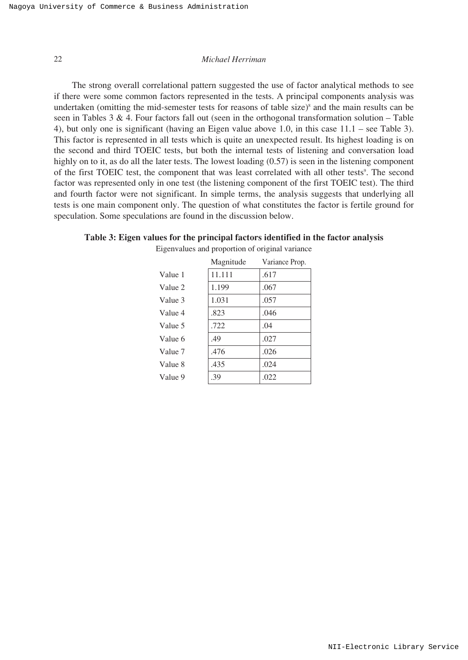The strong overall correlational pattern suggested the use of factor analytical methods to see if there were some common factors represented in the tests. A principal components analysis was undertaken (omitting the mid-semester tests for reasons of table size) $\delta$  and the main results can be seen in Tables 3 & 4. Four factors fall out (seen in the orthogonal transformation solution – Table 4), but only one is significant (having an Eigen value above 1.0, in this case 11.1 – see Table 3). This factor is represented in all tests which is quite an unexpected result. Its highest loading is on the second and third TOEIC tests, but both the internal tests of listening and conversation load highly on to it, as do all the later tests. The lowest loading (0.57) is seen in the listening component of the first TOEIC test, the component that was least correlated with all other tests<sup>9</sup>. The second factor was represented only in one test (the listening component of the first TOEIC test). The third and fourth factor were not significant. In simple terms, the analysis suggests that underlying all tests is one main component only. The question of what constitutes the factor is fertile ground for speculation. Some speculations are found in the discussion below.

|  |  |  | Table 3: Eigen values for the principal factors identified in the factor analysis |  |  |
|--|--|--|-----------------------------------------------------------------------------------|--|--|
|--|--|--|-----------------------------------------------------------------------------------|--|--|

|         | Magnitude | Variance Prop. |
|---------|-----------|----------------|
| Value 1 | 11.111    | .617           |
| Value 2 | 1.199     | .067           |
| Value 3 | 1.031     | .057           |
| Value 4 | .823      | .046           |
| Value 5 | .722      | .04            |
| Value 6 | .49       | .027           |
| Value 7 | .476      | .026           |
| Value 8 | .435      | .024           |
| Value 9 | .39       | .022           |
|         |           |                |

Eigenvalues and proportion of original variance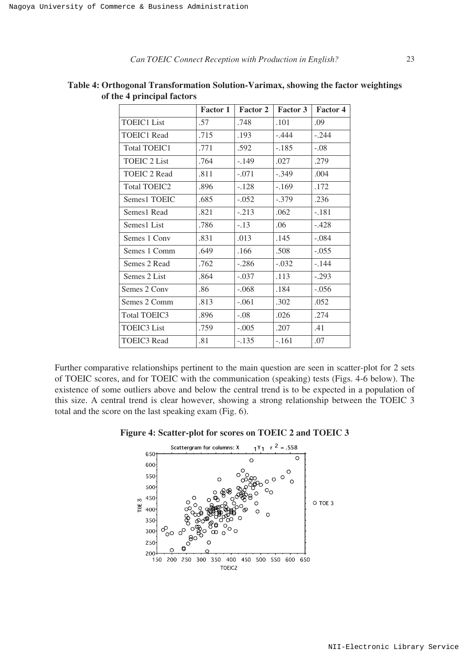TOEIC3 Read

|                     | <b>Factor 1</b> | Factor 2 | <b>Factor 3</b> | Factor 4 |
|---------------------|-----------------|----------|-----------------|----------|
| TOEIC1 List         | .57             | .748     | .101            | .09      |
| <b>TOEIC1 Read</b>  | .715            | .193     | $-.444$         | $-.244$  |
| <b>Total TOEIC1</b> | .771            | .592     | $-.185$         | $-.08$   |
| <b>TOEIC 2 List</b> | .764            | $-.149$  | .027            | .279     |
| <b>TOEIC 2 Read</b> | .811            | $-.071$  | $-.349$         | .004     |
| <b>Total TOEIC2</b> | .896            | $-.128$  | $-.169$         | .172     |
| Semes1 TOEIC        | .685            | $-.052$  | $-.379$         | .236     |
| Semes1 Read         | .821            | $-.213$  | .062            | -.181    |
| Semes1 List         | .786            | $-.13$   | .06             | $-.428$  |
| Semes 1 Conv        | .831            | .013     | .145            | $-.084$  |
| Semes 1 Comm        | .649            | .166     | .508            | $-.055$  |
| Semes 2 Read        | .762            | $-.286$  | $-.032$         | $-.144$  |
| Semes 2 List        | .864            | $-.037$  | .113            | $-.293$  |
| Semes 2 Conv        | .86             | $-.068$  | .184            | $-.056$  |
| Semes 2 Comm        | .813            | $-.061$  | .302            | .052     |
| Total TOEIC3        | .896            | $-.08$   | .026            | .274     |
| <b>TOEIC3</b> List  | .759            | $-.005$  | .207            | .41      |

**Table 4: Orthogonal Transformation Solution-Varimax, showing the factor weightings of the 4 principal factors**

Further comparative relationships pertinent to the main question are seen in scatter-plot for 2 sets of TOEIC scores, and for TOEIC with the communication (speaking) tests (Figs. 4-6 below). The existence of some outliers above and below the central trend is to be expected in a population of this size. A central trend is clear however, showing a strong relationship between the TOEIC 3 total and the score on the last speaking exam (Fig. 6).

-.135

-.161

.07

.81



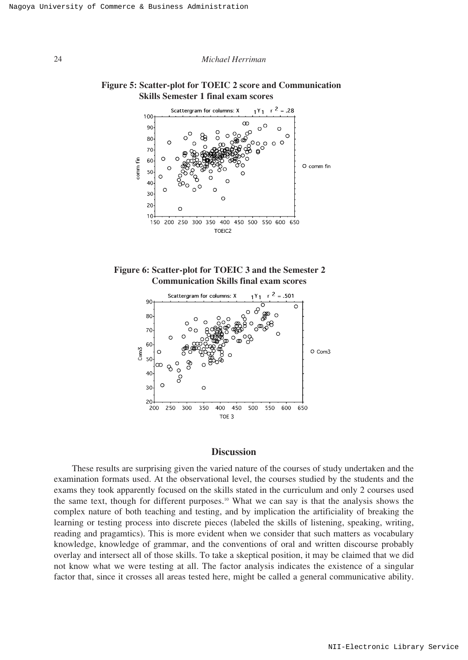# **Figure 5: Scatter-plot for TOEIC 2 score and Communication Skills Semester 1 final exam scores**







## **Discussion**

These results are surprising given the varied nature of the courses of study undertaken and the examination formats used. At the observational level, the courses studied by the students and the exams they took apparently focused on the skills stated in the curriculum and only 2 courses used the same text, though for different purposes.<sup>10</sup> What we can say is that the analysis shows the complex nature of both teaching and testing, and by implication the artificiality of breaking the learning or testing process into discrete pieces (labeled the skills of listening, speaking, writing, reading and pragamtics). This is more evident when we consider that such matters as vocabulary knowledge, knowledge of grammar, and the conventions of oral and written discourse probably overlay and intersect all of those skills. To take a skeptical position, it may be claimed that we did not know what we were testing at all. The factor analysis indicates the existence of a singular factor that, since it crosses all areas tested here, might be called a general communicative ability.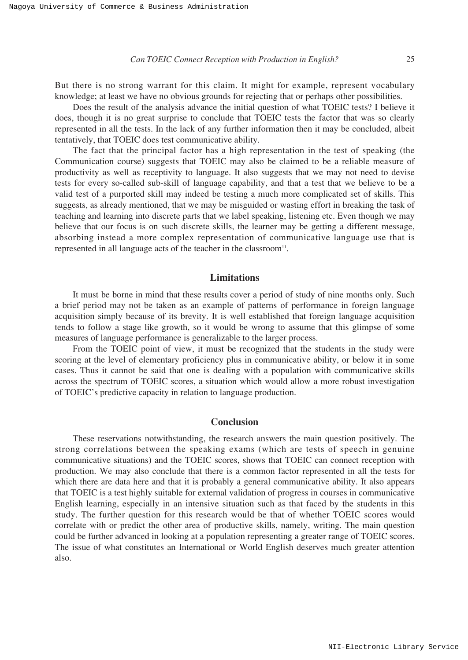*Can TOEIC Connect Reception with Production in English?* 25

But there is no strong warrant for this claim. It might for example, represent vocabulary knowledge; at least we have no obvious grounds for rejecting that or perhaps other possibilities.

Does the result of the analysis advance the initial question of what TOEIC tests? I believe it does, though it is no great surprise to conclude that TOEIC tests the factor that was so clearly represented in all the tests. In the lack of any further information then it may be concluded, albeit tentatively, that TOEIC does test communicative ability.

The fact that the principal factor has a high representation in the test of speaking (the Communication course) suggests that TOEIC may also be claimed to be a reliable measure of productivity as well as receptivity to language. It also suggests that we may not need to devise tests for every so-called sub-skill of language capability, and that a test that we believe to be a valid test of a purported skill may indeed be testing a much more complicated set of skills. This suggests, as already mentioned, that we may be misguided or wasting effort in breaking the task of teaching and learning into discrete parts that we label speaking, listening etc. Even though we may believe that our focus is on such discrete skills, the learner may be getting a different message, absorbing instead a more complex representation of communicative language use that is represented in all language acts of the teacher in the classroom<sup>11</sup>.

## **Limitations**

It must be borne in mind that these results cover a period of study of nine months only. Such a brief period may not be taken as an example of patterns of performance in foreign language acquisition simply because of its brevity. It is well established that foreign language acquisition tends to follow a stage like growth, so it would be wrong to assume that this glimpse of some measures of language performance is generalizable to the larger process.

From the TOEIC point of view, it must be recognized that the students in the study were scoring at the level of elementary proficiency plus in communicative ability, or below it in some cases. Thus it cannot be said that one is dealing with a population with communicative skills across the spectrum of TOEIC scores, a situation which would allow a more robust investigation of TOEIC's predictive capacity in relation to language production.

### **Conclusion**

These reservations notwithstanding, the research answers the main question positively. The strong correlations between the speaking exams (which are tests of speech in genuine communicative situations) and the TOEIC scores, shows that TOEIC can connect reception with production. We may also conclude that there is a common factor represented in all the tests for which there are data here and that it is probably a general communicative ability. It also appears that TOEIC is a test highly suitable for external validation of progress in courses in communicative English learning, especially in an intensive situation such as that faced by the students in this study. The further question for this research would be that of whether TOEIC scores would correlate with or predict the other area of productive skills, namely, writing. The main question could be further advanced in looking at a population representing a greater range of TOEIC scores. The issue of what constitutes an International or World English deserves much greater attention also.